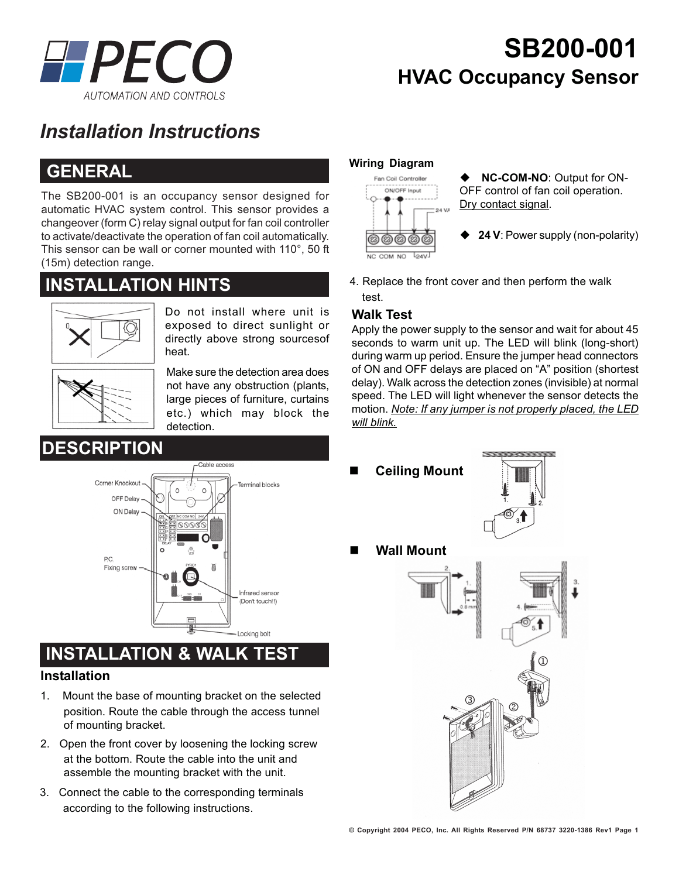

## **SB200-001 HVAC Occupancy Sensor**

## *Installation Instructions*

### **GENERAL**

The SB200-001 is an occupancy sensor designed for automatic HVAC system control. This sensor provides a changeover (form C) relay signal output for fan coil controller to activate/deactivate the operation of fan coil automatically. This sensor can be wall or corner mounted with 110°, 50 ft (15m) detection range.

### **INSTALLATION HINTS**



Do not install where unit is exposed to direct sunlight or directly above strong sourcesof heat.



Make sure the detection area does not have any obstruction (plants, large pieces of furniture, curtains etc.) which may block the detection.



# **INSTALLATION & WALK TEST**

#### **Installation**

- position. Route the cable through the access tunnel<br>of mounting bracket 1. Mount the base of mounting bracket on the selected of mounting bracket.
- 2. Open the front cover by loosening the locking screw at the bottom. Route the cable into the unit and assemble the mounting bracket with the unit.
- 3. Connect the cable to the corresponding terminals according to the following instructions.

#### **Wiring Diagram**



4. Replace the front cover and then perform the walk test.

#### **Walk Test**

Apply the power supply to the sensor and wait for about 45 seconds to warm unit up. The LED will blink (long-short) during warm up period. Ensure the jumper head connectors of ON and OFF delays are placed on "A" position (shortest delay). Walk across the detection zones (invisible) at normal speed. The LED will light whenever the sensor detects the motion. *Note: If any jumper is not properly placed, the LED will blink.*

**Ceiling Mount**



**Wall Mount**